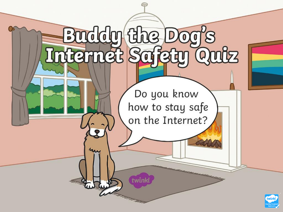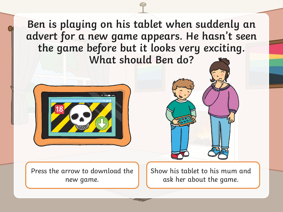**Ben is playing on his tablet when suddenly an advert for a new game appears. He hasn't seen the game before but it looks very exciting. What should Ben do?** 





Press the arrow to download the new game.

Show his tablet to his mum and ask her about the game.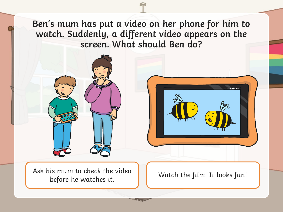**Ben's mum has put a video on her phone for him to watch. Suddenly, a different video appears on the screen. What should Ben do?**



Ask his mum to check the video  $\begin{array}{|c|c|c|c|}\n \hline\n \end{array}$  before he watches it.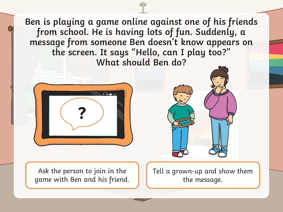<span id="page-3-0"></span>**Ben is playing a game online against one of his friends from school. He is having lots of fun. Suddenly, a message from someone Ben doesn't know appears on the screen. It says "Hello, can I play too?" What should Ben do?**





Ask the person to join in the [game with Ben and his friend.](#page-5-0)  Tell a grown-up and show them the message.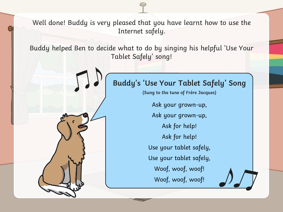Well done! Buddy is very pleased that you have learnt how to use the Internet safely.

Buddy helped Ben to decide what to do by singing his helpful 'Use Your Tablet Safely' song!

## **Buddy's 'Use Your Tablet Safely' Song**

**(Sung to the tune of Frère Jacques)**

Ask your grown-up, Ask your grown-up, Ask for help! Ask for help! Use your tablet safely, Use your tablet safely, Woof, woof, woof! Woof, woof, woof!